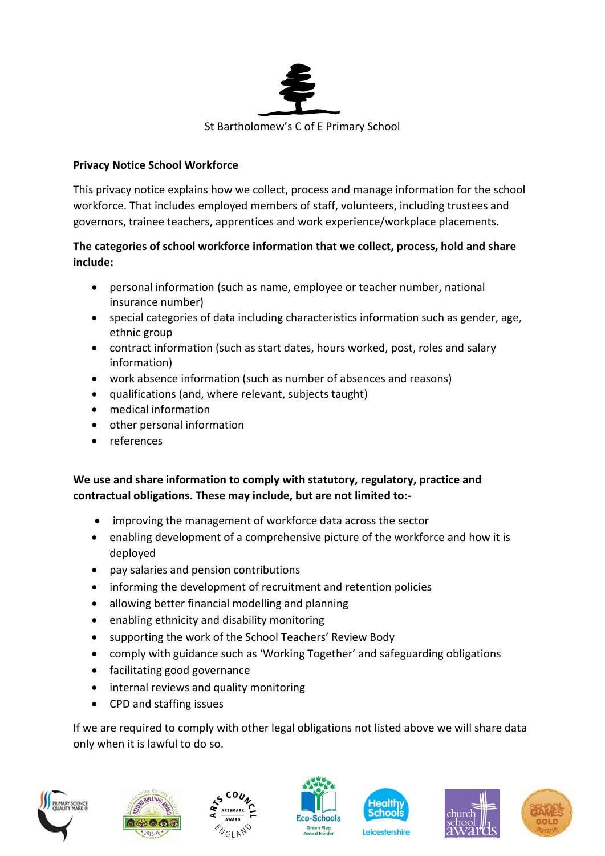

### Privacy Notice School Workforce

This privacy notice explains how we collect, process and manage information for the school workforce. That includes employed members of staff, volunteers, including trustees and governors, trainee teachers, apprentices and work experience/workplace placements.

## The categories of school workforce information that we collect, process, hold and share include:

- personal information (such as name, employee or teacher number, national insurance number)
- special categories of data including characteristics information such as gender, age, ethnic group
- contract information (such as start dates, hours worked, post, roles and salary information)
- work absence information (such as number of absences and reasons)
- qualifications (and, where relevant, subjects taught)
- medical information
- other personal information
- references

## We use and share information to comply with statutory, regulatory, practice and contractual obligations. These may include, but are not limited to:-

- improving the management of workforce data across the sector
- enabling development of a comprehensive picture of the workforce and how it is deployed
- pay salaries and pension contributions
- informing the development of recruitment and retention policies
- allowing better financial modelling and planning
- enabling ethnicity and disability monitoring
- supporting the work of the School Teachers' Review Body
- comply with guidance such as 'Working Together' and safeguarding obligations
- facilitating good governance
- internal reviews and quality monitoring
- CPD and staffing issues

If we are required to comply with other legal obligations not listed above we will share data only when it is lawful to do so.













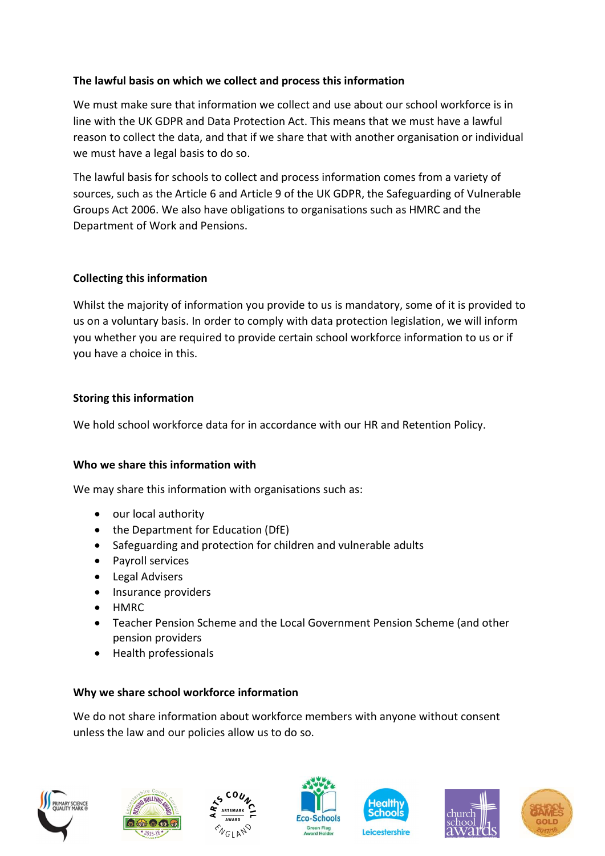## The lawful basis on which we collect and process this information

We must make sure that information we collect and use about our school workforce is in line with the UK GDPR and Data Protection Act. This means that we must have a lawful reason to collect the data, and that if we share that with another organisation or individual we must have a legal basis to do so.

The lawful basis for schools to collect and process information comes from a variety of sources, such as the Article 6 and Article 9 of the UK GDPR, the Safeguarding of Vulnerable Groups Act 2006. We also have obligations to organisations such as HMRC and the Department of Work and Pensions.

#### Collecting this information

Whilst the majority of information you provide to us is mandatory, some of it is provided to us on a voluntary basis. In order to comply with data protection legislation, we will inform you whether you are required to provide certain school workforce information to us or if you have a choice in this.

#### Storing this information

We hold school workforce data for in accordance with our HR and Retention Policy.

#### Who we share this information with

We may share this information with organisations such as:

- our local authority
- the Department for Education (DfE)
- Safeguarding and protection for children and vulnerable adults
- Payroll services
- Legal Advisers
- Insurance providers
- HMRC
- Teacher Pension Scheme and the Local Government Pension Scheme (and other pension providers
- Health professionals

#### Why we share school workforce information

We do not share information about workforce members with anyone without consent unless the law and our policies allow us to do so.













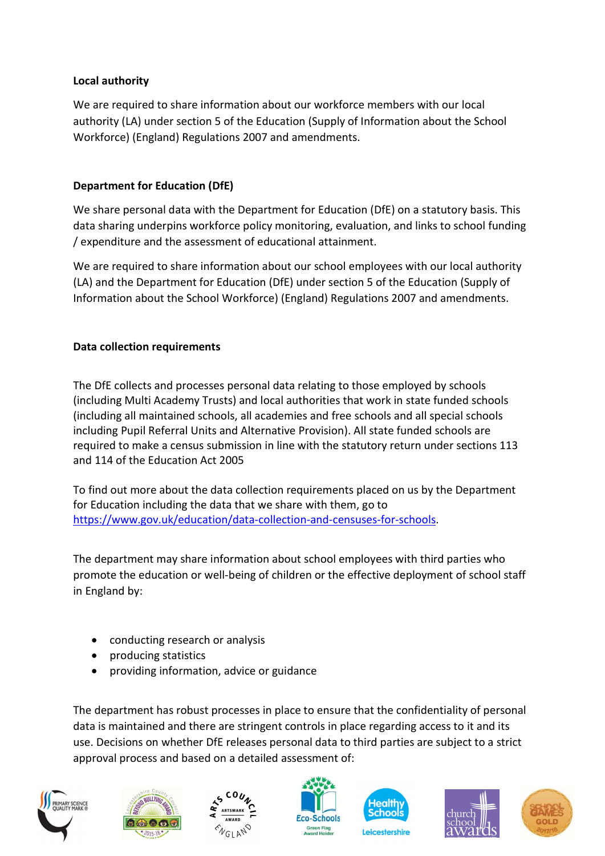## Local authority

We are required to share information about our workforce members with our local authority (LA) under section 5 of the Education (Supply of Information about the School Workforce) (England) Regulations 2007 and amendments.

# Department for Education (DfE)

We share personal data with the Department for Education (DfE) on a statutory basis. This data sharing underpins workforce policy monitoring, evaluation, and links to school funding / expenditure and the assessment of educational attainment.

We are required to share information about our school employees with our local authority (LA) and the Department for Education (DfE) under section 5 of the Education (Supply of Information about the School Workforce) (England) Regulations 2007 and amendments.

# Data collection requirements

The DfE collects and processes personal data relating to those employed by schools (including Multi Academy Trusts) and local authorities that work in state funded schools (including all maintained schools, all academies and free schools and all special schools including Pupil Referral Units and Alternative Provision). All state funded schools are required to make a census submission in line with the statutory return under sections 113 and 114 of the Education Act 2005

To find out more about the data collection requirements placed on us by the Department for Education including the data that we share with them, go to https://www.gov.uk/education/data-collection-and-censuses-for-schools.

The department may share information about school employees with third parties who promote the education or well-being of children or the effective deployment of school staff in England by:

- conducting research or analysis
- producing statistics
- providing information, advice or guidance

The department has robust processes in place to ensure that the confidentiality of personal data is maintained and there are stringent controls in place regarding access to it and its use. Decisions on whether DfE releases personal data to third parties are subject to a strict approval process and based on a detailed assessment of: